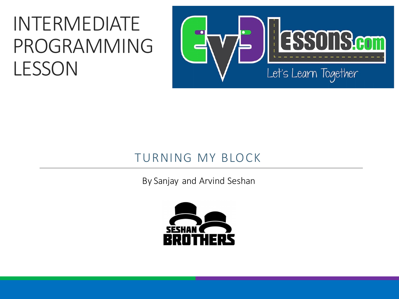#### INTERMEDIATE PROGRAMMING LESSON



#### TURNING MY BLOCK

By Sanjay and Arvind Seshan

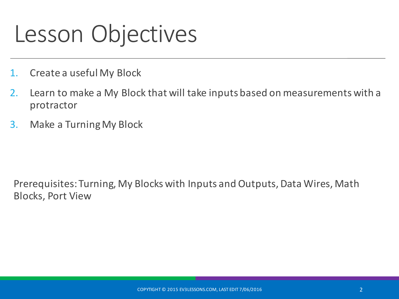# Lesson Objectives

- 1. Create a useful My Block
- 2. Learn to make a My Block that will take inputs based on measurements with a protractor
- 3. Make a Turning My Block

Prerequisites: Turning, My Blocks with Inputs and Outputs, Data Wires, Math **Blocks, Port View**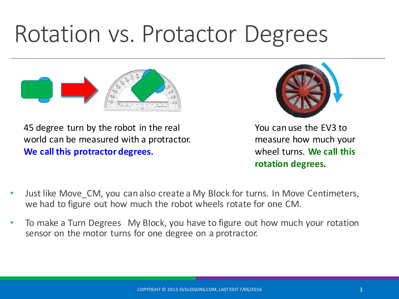# Rotation vs. Protactor Degrees



45 degree turn by the robot in the real world can be measured with a protractor. **We call this protractor degrees.** 



You can use the EV3 to measure how much your wheel turns. We call this **rotation degrees.**

- Just like Move CM, you can also create a My Block for turns. In Move Centimeters, we had to figure out how much the robot wheels rotate for one CM.
- To make a Turn Degrees My Block, you have to figure out how much your rotation sensor on the motor turns for one degree on a protractor.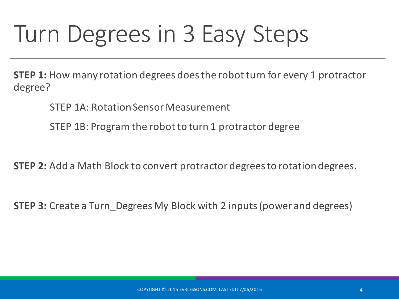# Turn Degrees in 3 Easy Steps

**STEP 1:** How many rotation degrees does the robot turn for every 1 protractor degree?

STEP 1A: Rotation Sensor Measurement

STEP 1B: Program the robot to turn 1 protractor degree

**STEP 2:** Add a Math Block to convert protractor degrees to rotation degrees.

**STEP 3:** Create a Turn Degrees My Block with 2 inputs (power and degrees)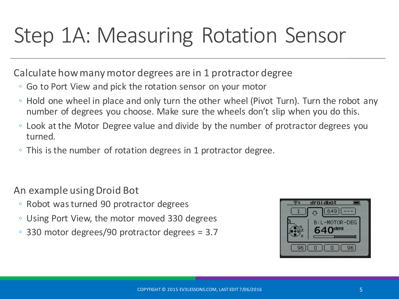#### Step 1A: Measuring Rotation Sensor

Calculate how many motor degrees are in 1 protractor degree

- Go to Port View and pick the rotation sensor on your motor
- $\circ$  Hold one wheel in place and only turn the other wheel (Pivot Turn). Turn the robot any number of degrees you choose. Make sure the wheels don't slip when you do this.
- Look at the Motor Degree value and divide by the number of protractor degrees you turned.
- $\circ$  This is the number of rotation degrees in 1 protractor degree.

An example using Droid Bot

- Robot was turned 90 protractor degrees
- Using Port View, the motor moved 330 degrees
- $\degree$  330 motor degrees/90 protractor degrees = 3.7

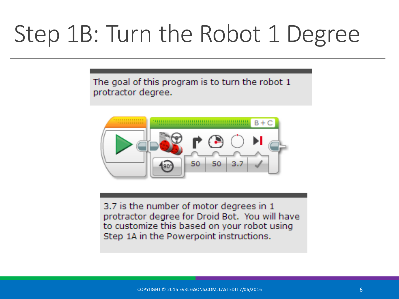# Step 1B: Turn the Robot 1 Degree

The goal of this program is to turn the robot 1 protractor degree.



3.7 is the number of motor degrees in 1 protractor degree for Droid Bot. You will have to customize this based on your robot using Step 1A in the Powerpoint instructions.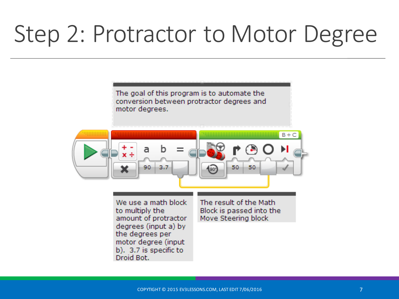# Step 2: Protractor to Motor Degree

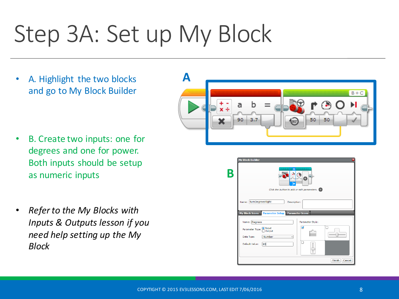# Step 3A: Set up My Block

A. Highlight the two blocks and go to My Block Builder

- B. Create two inputs: one for degrees and one for power. Both inputs should be setup as numeric inputs
- **Refer to the My Blocks with** *Inputs & Outputs lesson if you need help setting up the My Block*



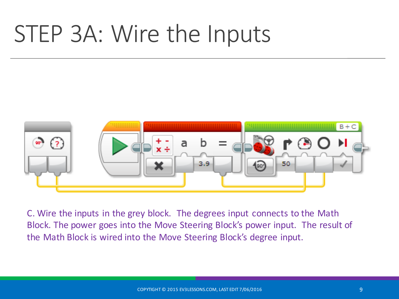# STEP 3A: Wire the Inputs



C. Wire the inputs in the grey block. The degrees input connects to the Math Block. The power goes into the Move Steering Block's power input. The result of the Math Block is wired into the Move Steering Block's degree input.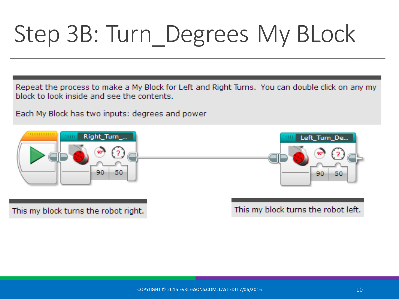# Step 3B: Turn\_Degrees My BLock

Repeat the process to make a My Block for Left and Right Turns. You can double click on any my block to look inside and see the contents.

Each My Block has two inputs: degrees and power



This my block turns the robot right.

This my block turns the robot left.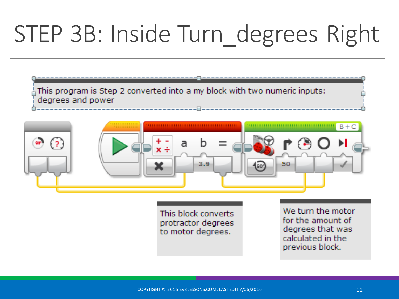# STEP 3B: Inside Turn\_degrees Right

| $\frac{1}{\Box}$ This program is Step 2 converted into a my block with two numeric inputs: |
|--------------------------------------------------------------------------------------------|
| degrees and power                                                                          |
|                                                                                            |



This block converts protractor degrees to motor degrees.

We turn the motor for the amount of degrees that was calculated in the previous block.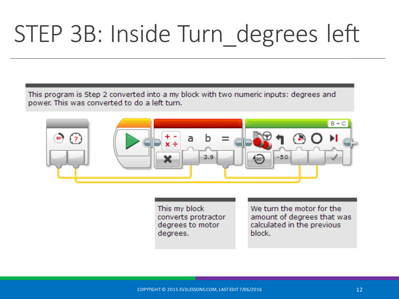# STEP 3B: Inside Turn\_degrees left

This program is Step 2 converted into a my block with two numeric inputs: degrees and power. This was converted to do a left turn.



This my block converts protractor degrees to motor degrees.

We turn the motor for the amount of degrees that was calculated in the previous block.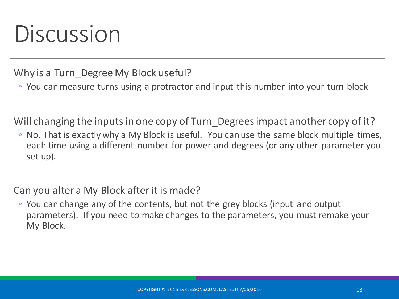## Discussion

Why is a Turn Degree My Block useful?

◦ You can measure turns using a protractor and input this number into your turn block

Will changing the inputs in one copy of Turn\_Degrees impact another copy of it?

 $\circ$  No. That is exactly why a My Block is useful. You can use the same block multiple times, each time using a different number for power and degrees (or any other parameter you set up).

#### Can you alter a My Block after it is made?

◦ You can change any of the contents, but not the grey blocks (input and output parameters). If you need to make changes to the parameters, you must remake your My Block.